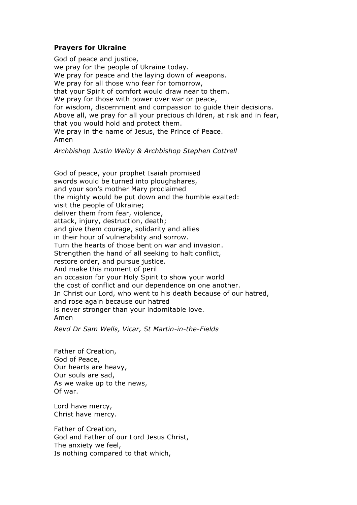## **Prayers for Ukraine**

God of peace and justice, we pray for the people of Ukraine today. We pray for peace and the laying down of weapons. We pray for all those who fear for tomorrow, that your Spirit of comfort would draw near to them. We pray for those with power over war or peace, for wisdom, discernment and compassion to guide their decisions. Above all, we pray for all your precious children, at risk and in fear, that you would hold and protect them. We pray in the name of Jesus, the Prince of Peace. Amen

*Archbishop Justin Welby & Archbishop Stephen Cottrell*

God of peace, your prophet Isaiah promised swords would be turned into ploughshares, and your son's mother Mary proclaimed the mighty would be put down and the humble exalted: visit the people of Ukraine; deliver them from fear, violence, attack, injury, destruction, death; and give them courage, solidarity and allies in their hour of vulnerability and sorrow. Turn the hearts of those bent on war and invasion. Strengthen the hand of all seeking to halt conflict, restore order, and pursue justice. And make this moment of peril an occasion for your Holy Spirit to show your world the cost of conflict and our dependence on one another. In Christ our Lord, who went to his death because of our hatred, and rose again because our hatred is never stronger than your indomitable love. Amen

*Revd Dr Sam Wells, Vicar, St Martin-in-the-Fields*

Father of Creation, God of Peace, Our hearts are heavy, Our souls are sad, As we wake up to the news, Of war.

Lord have mercy, Christ have mercy.

Father of Creation, God and Father of our Lord Jesus Christ, The anxiety we feel, Is nothing compared to that which,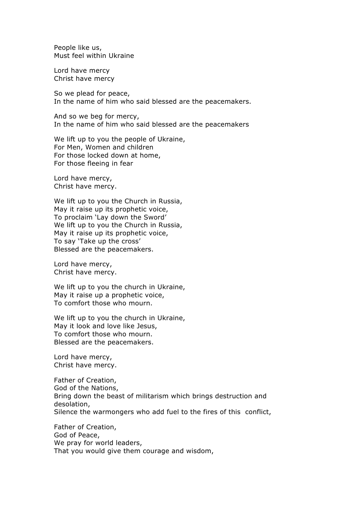People like us, Must feel within Ukraine

Lord have mercy Christ have mercy

So we plead for peace, In the name of him who said blessed are the peacemakers.

And so we beg for mercy, In the name of him who said blessed are the peacemakers

We lift up to you the people of Ukraine, For Men, Women and children For those locked down at home, For those fleeing in fear

Lord have mercy, Christ have mercy.

We lift up to you the Church in Russia, May it raise up its prophetic voice, To proclaim 'Lay down the Sword' We lift up to you the Church in Russia, May it raise up its prophetic voice, To say 'Take up the cross' Blessed are the peacemakers.

Lord have mercy, Christ have mercy.

We lift up to you the church in Ukraine, May it raise up a prophetic voice, To comfort those who mourn.

We lift up to you the church in Ukraine, May it look and love like Jesus, To comfort those who mourn. Blessed are the peacemakers.

Lord have mercy, Christ have mercy.

Father of Creation, God of the Nations, Bring down the beast of militarism which brings destruction and desolation, Silence the warmongers who add fuel to the fires of this conflict,

Father of Creation, God of Peace, We pray for world leaders, That you would give them courage and wisdom,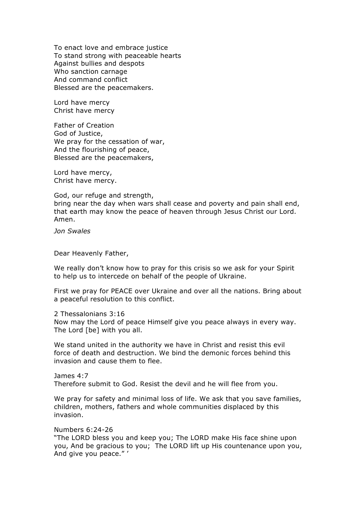To enact love and embrace justice To stand strong with peaceable hearts Against bullies and despots Who sanction carnage And command conflict Blessed are the peacemakers.

Lord have mercy Christ have mercy

Father of Creation God of Justice, We pray for the cessation of war, And the flourishing of peace, Blessed are the peacemakers,

Lord have mercy, Christ have mercy.

God, our refuge and strength,

bring near the day when wars shall cease and poverty and pain shall end, that earth may know the peace of heaven through Jesus Christ our Lord. Amen.

*Jon Swales*

Dear Heavenly Father,

We really don't know how to pray for this crisis so we ask for your Spirit to help us to intercede on behalf of the people of Ukraine.

First we pray for PEACE over Ukraine and over all the nations. Bring about a peaceful resolution to this conflict.

2 Thessalonians 3:16 Now may the Lord of peace Himself give you peace always in every way. The Lord [be] with you all.

We stand united in the authority we have in Christ and resist this evil force of death and destruction. We bind the demonic forces behind this invasion and cause them to flee.

James 4:7 Therefore submit to God. Resist the devil and he will flee from you.

We pray for safety and minimal loss of life. We ask that you save families, children, mothers, fathers and whole communities displaced by this invasion.

Numbers 6:24-26

"The LORD bless you and keep you; The LORD make His face shine upon you, And be gracious to you; The LORD lift up His countenance upon you, And give you peace." '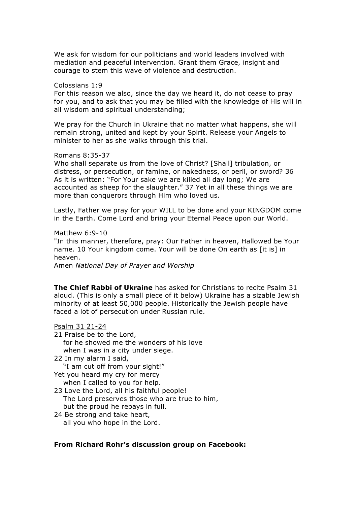We ask for wisdom for our politicians and world leaders involved with mediation and peaceful intervention. Grant them Grace, insight and courage to stem this wave of violence and destruction.

#### Colossians 1:9

For this reason we also, since the day we heard it, do not cease to pray for you, and to ask that you may be filled with the knowledge of His will in all wisdom and spiritual understanding;

We pray for the Church in Ukraine that no matter what happens, she will remain strong, united and kept by your Spirit. Release your Angels to minister to her as she walks through this trial.

Romans 8:35-37

Who shall separate us from the love of Christ? [Shall] tribulation, or distress, or persecution, or famine, or nakedness, or peril, or sword? 36 As it is written: "For Your sake we are killed all day long; We are accounted as sheep for the slaughter." 37 Yet in all these things we are more than conquerors through Him who loved us.

Lastly, Father we pray for your WILL to be done and your KINGDOM come in the Earth. Come Lord and bring your Eternal Peace upon our World.

Matthew 6:9-10 "In this manner, therefore, pray: Our Father in heaven, Hallowed be Your name. 10 Your kingdom come. Your will be done On earth as [it is] in heaven. Amen *National Day of Prayer and Worship*

**The Chief Rabbi of Ukraine** has asked for Christians to recite Psalm 31 aloud. (This is only a small piece of it below) Ukraine has a sizable Jewish minority of at least 50,000 people. Historically the Jewish people have faced a lot of persecution under Russian rule.

# Psalm 31 21-24 21 Praise be to the Lord, for he showed me the wonders of his love when I was in a city under siege. 22 In my alarm I said, "I am cut off from your sight!" Yet you heard my cry for mercy when I called to you for help. 23 Love the Lord, all his faithful people! The Lord preserves those who are true to him, but the proud he repays in full. 24 Be strong and take heart, all you who hope in the Lord.

## **From Richard Rohr's discussion group on Facebook:**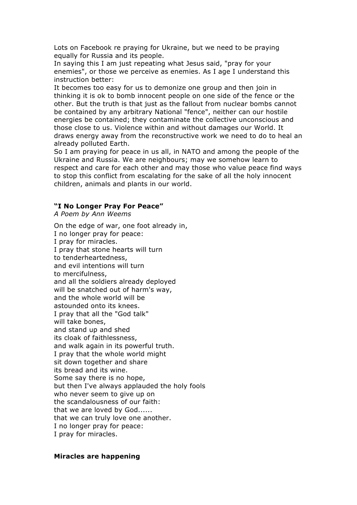Lots on Facebook re praying for Ukraine, but we need to be praying equally for Russia and its people.

In saying this I am just repeating what Jesus said, "pray for your enemies", or those we perceive as enemies. As I age I understand this instruction better:

It becomes too easy for us to demonize one group and then join in thinking it is ok to bomb innocent people on one side of the fence or the other. But the truth is that just as the fallout from nuclear bombs cannot be contained by any arbitrary National "fence", neither can our hostile energies be contained; they contaminate the collective unconscious and those close to us. Violence within and without damages our World. It draws energy away from the reconstructive work we need to do to heal an already polluted Earth.

So I am praying for peace in us all, in NATO and among the people of the Ukraine and Russia. We are neighbours; may we somehow learn to respect and care for each other and may those who value peace find ways to stop this conflict from escalating for the sake of all the holy innocent children, animals and plants in our world.

#### **"I No Longer Pray For Peace"**

*A Poem by Ann Weems*

On the edge of war, one foot already in, I no longer pray for peace: I pray for miracles. I pray that stone hearts will turn to tenderheartedness, and evil intentions will turn to mercifulness, and all the soldiers already deployed will be snatched out of harm's way, and the whole world will be astounded onto its knees. I pray that all the "God talk" will take bones, and stand up and shed its cloak of faithlessness, and walk again in its powerful truth. I pray that the whole world might sit down together and share its bread and its wine. Some say there is no hope, but then I've always applauded the holy fools who never seem to give up on the scandalousness of our faith: that we are loved by God...... that we can truly love one another. I no longer pray for peace: I pray for miracles.

#### **Miracles are happening**